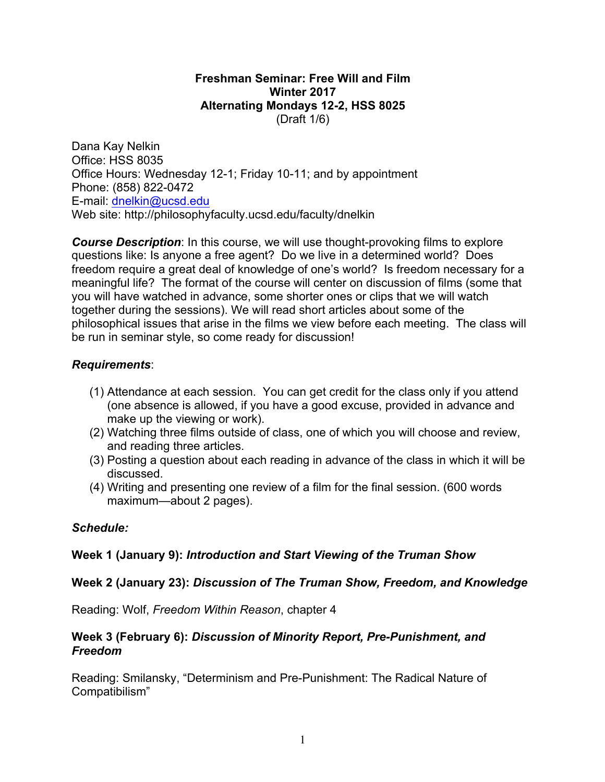#### **Freshman Seminar: Free Will and Film Winter 2017 Alternating Mondays 12-2, HSS 8025** (Draft 1/6)

Dana Kay Nelkin Office: HSS 8035 Office Hours: Wednesday 12-1; Friday 10-11; and by appointment Phone: (858) 822-0472 E-mail: dnelkin@ucsd.edu Web site: http://philosophyfaculty.ucsd.edu/faculty/dnelkin

*Course Description*: In this course, we will use thought-provoking films to explore questions like: Is anyone a free agent? Do we live in a determined world? Does freedom require a great deal of knowledge of one's world? Is freedom necessary for a meaningful life? The format of the course will center on discussion of films (some that you will have watched in advance, some shorter ones or clips that we will watch together during the sessions). We will read short articles about some of the philosophical issues that arise in the films we view before each meeting. The class will be run in seminar style, so come ready for discussion!

## *Requirements*:

- (1) Attendance at each session. You can get credit for the class only if you attend (one absence is allowed, if you have a good excuse, provided in advance and make up the viewing or work).
- (2) Watching three films outside of class, one of which you will choose and review, and reading three articles.
- (3) Posting a question about each reading in advance of the class in which it will be discussed.
- (4) Writing and presenting one review of a film for the final session. (600 words maximum—about 2 pages).

### *Schedule:*

### **Week 1 (January 9):** *Introduction and Start Viewing of the Truman Show*

### **Week 2 (January 23):** *Discussion of The Truman Show, Freedom, and Knowledge*

Reading: Wolf, *Freedom Within Reason*, chapter 4

### **Week 3 (February 6):** *Discussion of Minority Report, Pre-Punishment, and Freedom*

Reading: Smilansky, "Determinism and Pre-Punishment: The Radical Nature of Compatibilism"